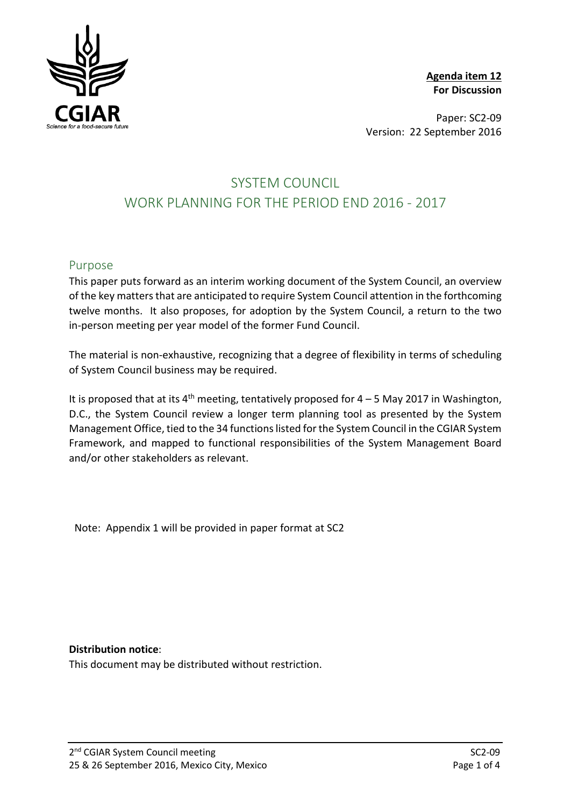

**Agenda item 12 For Discussion**

Paper: SC2-09 Version: 22 September 2016

## SYSTEM COUNCIL WORK PLANNING FOR THE PERIOD END 2016 - 2017

#### Purpose

This paper puts forward as an interim working document of the System Council, an overview of the key matters that are anticipated to require System Council attention in the forthcoming twelve months. It also proposes, for adoption by the System Council, a return to the two in-person meeting per year model of the former Fund Council.

The material is non-exhaustive, recognizing that a degree of flexibility in terms of scheduling of System Council business may be required.

It is proposed that at its  $4<sup>th</sup>$  meeting, tentatively proposed for  $4-5$  May 2017 in Washington, D.C., the System Council review a longer term planning tool as presented by the System Management Office, tied to the 34 functions listed for the System Council in the CGIAR System Framework, and mapped to functional responsibilities of the System Management Board and/or other stakeholders as relevant.

Note: Appendix 1 will be provided in paper format at SC2

#### **Distribution notice**:

This document may be distributed without restriction.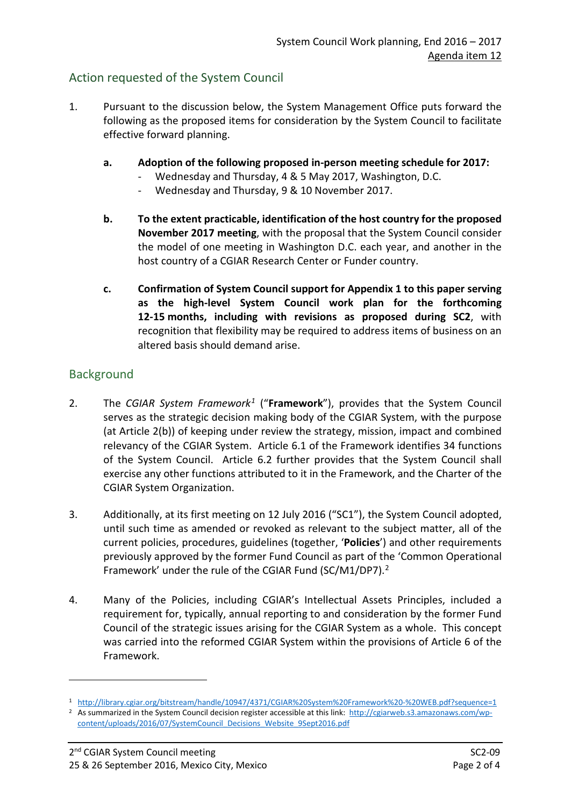### Action requested of the System Council

- 1. Pursuant to the discussion below, the System Management Office puts forward the following as the proposed items for consideration by the System Council to facilitate effective forward planning.
	- **a. Adoption of the following proposed in-person meeting schedule for 2017:**
		- Wednesday and Thursday, 4 & 5 May 2017, Washington, D.C.
		- Wednesday and Thursday, 9 & 10 November 2017.
	- **b. To the extent practicable, identification of the host country for the proposed November 2017 meeting**, with the proposal that the System Council consider the model of one meeting in Washington D.C. each year, and another in the host country of a CGIAR Research Center or Funder country.
	- **c. Confirmation of System Council support for Appendix 1 to this paper serving as the high-level System Council work plan for the forthcoming 12-15 months, including with revisions as proposed during SC2**, with recognition that flexibility may be required to address items of business on an altered basis should demand arise.

### **Background**

-

- 2. The *CGIAR System Framework[1](#page-1-0)* ("**Framework**"), provides that the System Council serves as the strategic decision making body of the CGIAR System, with the purpose (at Article 2(b)) of keeping under review the strategy, mission, impact and combined relevancy of the CGIAR System. Article 6.1 of the Framework identifies 34 functions of the System Council. Article 6.2 further provides that the System Council shall exercise any other functions attributed to it in the Framework, and the Charter of the CGIAR System Organization.
- 3. Additionally, at its first meeting on 12 July 2016 ("SC1"), the System Council adopted, until such time as amended or revoked as relevant to the subject matter, all of the current policies, procedures, guidelines (together, '**Policies**') and other requirements previously approved by the former Fund Council as part of the 'Common Operational Framework' under the rule of the CGIAR Fund (SC/M1/DP7).[2](#page-1-1)
- 4. Many of the Policies, including CGIAR's Intellectual Assets Principles, included a requirement for, typically, annual reporting to and consideration by the former Fund Council of the strategic issues arising for the CGIAR System as a whole. This concept was carried into the reformed CGIAR System within the provisions of Article 6 of the Framework.

<span id="page-1-0"></span><sup>1</sup><http://library.cgiar.org/bitstream/handle/10947/4371/CGIAR%20System%20Framework%20-%20WEB.pdf?sequence=1>2<br>2 As summarized in the System Council decision register accessible at this link: http://cgiarweb.s3.amazonaws.com

<span id="page-1-1"></span>[content/uploads/2016/07/SystemCouncil\\_Decisions\\_Website\\_9Sept2016.pdf](http://cgiarweb.s3.amazonaws.com/wp-content/uploads/2016/07/SystemCouncil_Decisions_Website_9Sept2016.pdf)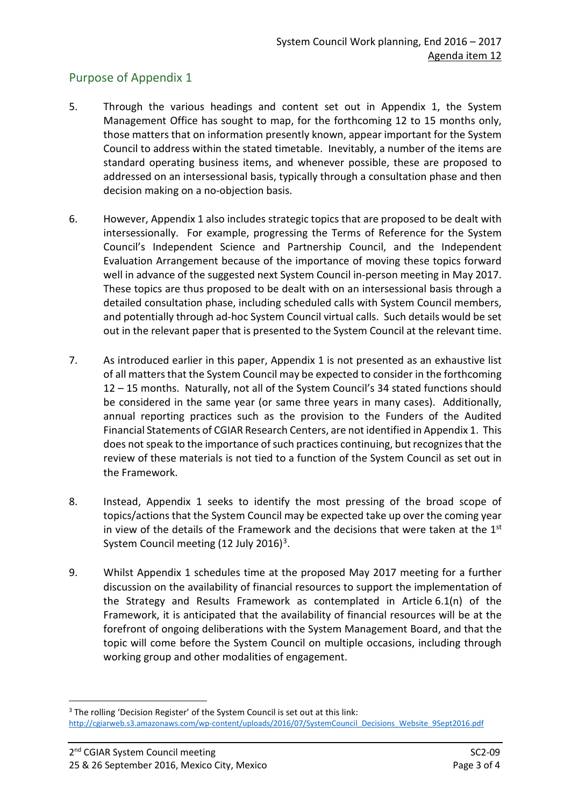## Purpose of Appendix 1

- 5. Through the various headings and content set out in Appendix 1, the System Management Office has sought to map, for the forthcoming 12 to 15 months only, those matters that on information presently known, appear important for the System Council to address within the stated timetable. Inevitably, a number of the items are standard operating business items, and whenever possible, these are proposed to addressed on an intersessional basis, typically through a consultation phase and then decision making on a no-objection basis.
- 6. However, Appendix 1 also includes strategic topics that are proposed to be dealt with intersessionally. For example, progressing the Terms of Reference for the System Council's Independent Science and Partnership Council, and the Independent Evaluation Arrangement because of the importance of moving these topics forward well in advance of the suggested next System Council in-person meeting in May 2017. These topics are thus proposed to be dealt with on an intersessional basis through a detailed consultation phase, including scheduled calls with System Council members, and potentially through ad-hoc System Council virtual calls. Such details would be set out in the relevant paper that is presented to the System Council at the relevant time.
- 7. As introduced earlier in this paper, Appendix 1 is not presented as an exhaustive list of all matters that the System Council may be expected to consider in the forthcoming 12 – 15 months. Naturally, not all of the System Council's 34 stated functions should be considered in the same year (or same three years in many cases). Additionally, annual reporting practices such as the provision to the Funders of the Audited Financial Statements of CGIAR Research Centers, are not identified in Appendix 1. This does not speak to the importance of such practices continuing, but recognizes that the review of these materials is not tied to a function of the System Council as set out in the Framework.
- 8. Instead, Appendix 1 seeks to identify the most pressing of the broad scope of topics/actions that the System Council may be expected take up over the coming year in view of the details of the Framework and the decisions that were taken at the  $1<sup>st</sup>$ System Council meeting  $(12 \text{ July } 2016)^3$ .
- 9. Whilst Appendix 1 schedules time at the proposed May 2017 meeting for a further discussion on the availability of financial resources to support the implementation of the Strategy and Results Framework as contemplated in Article 6.1(n) of the Framework, it is anticipated that the availability of financial resources will be at the forefront of ongoing deliberations with the System Management Board, and that the topic will come before the System Council on multiple occasions, including through working group and other modalities of engagement.

-

<span id="page-2-0"></span><sup>&</sup>lt;sup>3</sup> The rolling 'Decision Register' of the System Council is set out at this link: [http://cgiarweb.s3.amazonaws.com/wp-content/uploads/2016/07/SystemCouncil\\_Decisions\\_Website\\_9Sept2016.pdf](http://cgiarweb.s3.amazonaws.com/wp-content/uploads/2016/07/SystemCouncil_Decisions_Website_9Sept2016.pdf)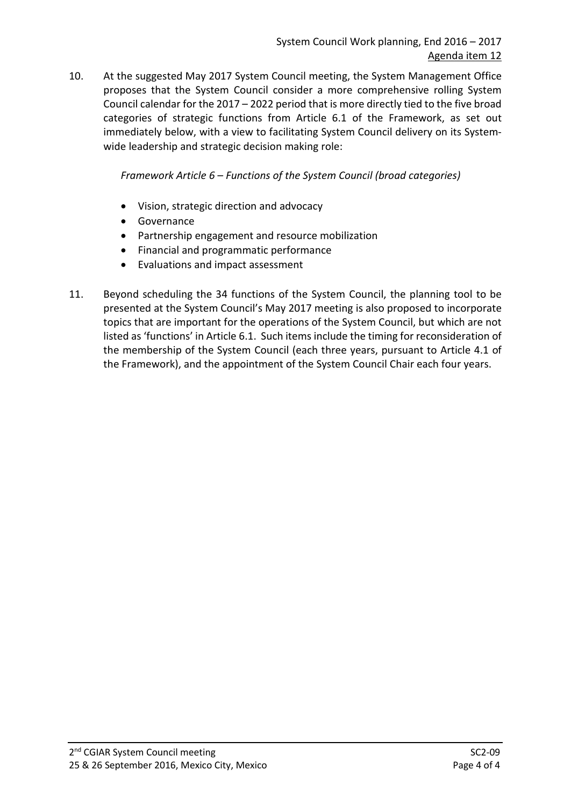10. At the suggested May 2017 System Council meeting, the System Management Office proposes that the System Council consider a more comprehensive rolling System Council calendar for the 2017 – 2022 period that is more directly tied to the five broad categories of strategic functions from Article 6.1 of the Framework, as set out immediately below, with a view to facilitating System Council delivery on its Systemwide leadership and strategic decision making role:

*Framework Article 6 – Functions of the System Council (broad categories)*

- Vision, strategic direction and advocacy
- Governance
- Partnership engagement and resource mobilization
- Financial and programmatic performance
- Evaluations and impact assessment
- 11. Beyond scheduling the 34 functions of the System Council, the planning tool to be presented at the System Council's May 2017 meeting is also proposed to incorporate topics that are important for the operations of the System Council, but which are not listed as 'functions' in Article 6.1. Such items include the timing for reconsideration of the membership of the System Council (each three years, pursuant to Article 4.1 of the Framework), and the appointment of the System Council Chair each four years.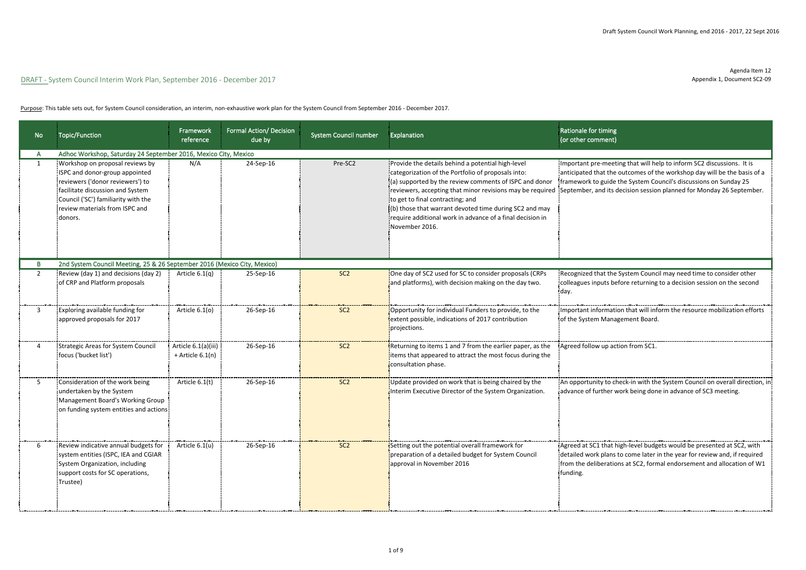Agenda Item 12 Appendix 1, Document SC2-09

| No | Topic/Function                                                                                                                                                                                                                                                                                   | Framework<br>reference                    | Formal Action/ Decision<br>due by | System Council number | Explanation                                                                                                                                                                                                                                                                                                                                    | Rationale for timing<br>(or other comment)                                                                                                                                                                                                                                                                                                              |
|----|--------------------------------------------------------------------------------------------------------------------------------------------------------------------------------------------------------------------------------------------------------------------------------------------------|-------------------------------------------|-----------------------------------|-----------------------|------------------------------------------------------------------------------------------------------------------------------------------------------------------------------------------------------------------------------------------------------------------------------------------------------------------------------------------------|---------------------------------------------------------------------------------------------------------------------------------------------------------------------------------------------------------------------------------------------------------------------------------------------------------------------------------------------------------|
|    | Adhoc Workshop, Saturday 24 September 2016, Mexico City, Mexico<br>Workshop on proposal reviews by<br>ISPC and donor-group appointed<br>reviewers ('donor reviewers') to<br>facilitate discussion and System<br>Council ('SC') familiarity with the<br>review materials from ISPC and<br>donors. | N/A                                       | 24-Sep-16                         | Pre-SC2               | Provide the details behind a potential high-level<br>categorization of the Portfolio of proposals into:<br>(a) supported by the review comments of ISPC and donor<br>to get to final contracting; and<br>(b) those that warrant devoted time during SC2 and may<br>require additional work in advance of a final decision in<br>November 2016. | Important pre-meeting that will help to inform SC2 discussions. It is<br>anticipated that the outcomes of the workshop day will be the basis of a<br>framework to guide the System Council's discussions on Sunday 25<br>reviewers, accepting that minor revisions may be required September, and its decision session planned for Monday 26 September. |
|    | 2nd System Council Meeting, 25 & 26 September 2016 (Mexico City, Mexico)                                                                                                                                                                                                                         |                                           |                                   |                       |                                                                                                                                                                                                                                                                                                                                                |                                                                                                                                                                                                                                                                                                                                                         |
|    | Review (day 1) and decisions (day 2)<br>of CRP and Platform proposals                                                                                                                                                                                                                            | Article $6.1(q)$                          | 25-Sep-16                         | SC <sub>2</sub>       | One day of SC2 used for SC to consider proposals (CRPs<br>and platforms), with decision making on the day two.                                                                                                                                                                                                                                 | Recognized that the System Council may need time to consider other<br>colleagues inputs before returning to a decision session on the second<br>'day.                                                                                                                                                                                                   |
|    | <b>Exploring available funding for</b><br>approved proposals for 2017                                                                                                                                                                                                                            | Article 6.1(o)                            | 26-Sep-16                         | SC <sub>2</sub>       | Opportunity for individual Funders to provide, to the<br>extent possible, indications of 2017 contribution<br>projections.                                                                                                                                                                                                                     | Important information that will inform the resource mobilization efforts<br>of the System Management Board.                                                                                                                                                                                                                                             |
|    | 'Strategic Areas for System Council<br>focus ('bucket list')                                                                                                                                                                                                                                     | Article 6.1(a)(iii)<br>$+$ Article 6.1(n) | 26-Sep-16                         | SC <sub>2</sub>       | Returning to items 1 and 7 from the earlier paper, as the<br>items that appeared to attract the most focus during the<br>consultation phase.                                                                                                                                                                                                   | Agreed follow up action from SC1                                                                                                                                                                                                                                                                                                                        |
|    | Consideration of the work being<br>undertaken by the System<br>Management Board's Working Group<br>on funding system entities and actions:                                                                                                                                                       | Article 6.1(t)                            | 26-Sep-16                         | SC <sub>2</sub>       | Update provided on work that is being chaired by the<br>Interim Executive Director of the System Organization.                                                                                                                                                                                                                                 | An opportunity to check-in with the System Council on overall direction, in<br>advance of further work being done in advance of SC3 meeting.                                                                                                                                                                                                            |
| 6  | Review indicative annual budgets for<br>system entities (ISPC, IEA and CGIAR<br>System Organization, including<br>support costs for SC operations,<br>¦Trustee)                                                                                                                                  | Article 6.1(u)                            | 26-Sep-16                         | SC <sub>2</sub>       | Setting out the potential overall framework for<br>preparation of a detailed budget for System Council<br>approval in November 2016                                                                                                                                                                                                            | Agreed at SC1 that high-level budgets would be presented at SC2, with<br>detailed work plans to come later in the year for review and, if required<br>from the deliberations at SC2, formal endorsement and allocation of W1<br>funding.                                                                                                                |

Purpose: This table sets out, for System Council consideration, an interim, non-exhaustive work plan for the System Council from September 2016 - December 2017.

|                                                 | Rationale for timing<br>(or other comment)                                                                                                                                                                                                                                                    |
|-------------------------------------------------|-----------------------------------------------------------------------------------------------------------------------------------------------------------------------------------------------------------------------------------------------------------------------------------------------|
| and donor<br>e required<br>and may<br>cision in | Important pre-meeting that will help to inform SC2 discussions. It is<br>anticipated that the outcomes of the workshop day will be the basis of a<br>framework to guide the System Council's discussions on Sunday 25<br>September, and its decision session planned for Monday 26 September. |
|                                                 |                                                                                                                                                                                                                                                                                               |
| ls (CRPs<br>y two.                              | Recognized that the System Council may need time to consider other<br>colleagues inputs before returning to a decision session on the second<br>day.                                                                                                                                          |
| o the<br>n                                      | Important information that will inform the resource mobilization efforts<br>of the System Management Board.                                                                                                                                                                                   |
| er, as the<br>uring the                         | Agreed follow up action from SC1.                                                                                                                                                                                                                                                             |
| oy the<br>ization.                              | An opportunity to check-in with the System Council on overall direction, in<br>advance of further work being done in advance of SC3 meeting.                                                                                                                                                  |
| uncil                                           | Agreed at SC1 that high-level budgets would be presented at SC2, with<br>detailed work plans to come later in the year for review and, if required<br>from the deliberations at SC2, formal endorsement and allocation of W1<br>funding.                                                      |

# DRAFT - System Council Interim Work Plan, September 2016 - December 2017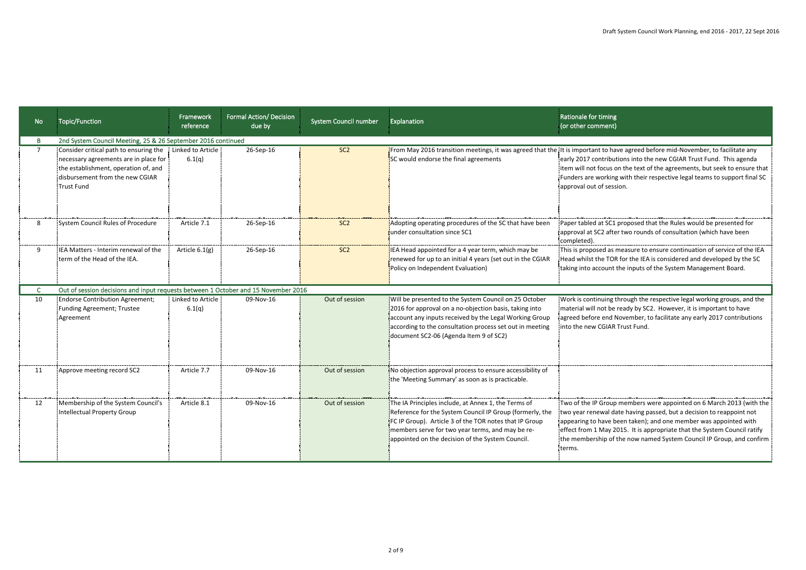| No | Topic/Function                                                                                                                                                           | <b>Framework</b><br>reference | <b>Formal Action/ Decision</b><br>due by | <b>System Council number</b> | Explanation                                                                                                                                                                                                                                                                       | Rationale for timing<br>(or other comment)                                                                                                                                                                                                                                                                                                                                                     |
|----|--------------------------------------------------------------------------------------------------------------------------------------------------------------------------|-------------------------------|------------------------------------------|------------------------------|-----------------------------------------------------------------------------------------------------------------------------------------------------------------------------------------------------------------------------------------------------------------------------------|------------------------------------------------------------------------------------------------------------------------------------------------------------------------------------------------------------------------------------------------------------------------------------------------------------------------------------------------------------------------------------------------|
|    | 2nd System Council Meeting, 25 & 26 September 2016 continued                                                                                                             |                               |                                          |                              |                                                                                                                                                                                                                                                                                   |                                                                                                                                                                                                                                                                                                                                                                                                |
|    | Consider critical path to ensuring the<br>necessary agreements are in place for<br>the establishment, operation of, and<br>disbursement from the new CGIAR<br>Trust Fund | Linked to Article<br>6.1(q)   | 26-Sep-16                                | SC <sub>2</sub>              | SC would endorse the final agreements                                                                                                                                                                                                                                             | From May 2016 transition meetings, it was agreed that the lt is important to have agreed before mid-November, to facilitate any<br>early 2017 contributions into the new CGIAR Trust Fund. This agenda<br> item will not focus on the text of the agreements, but seek to ensure that<br>Funders are working with their respective legal teams to support final SC<br>approval out of session. |
| 8  | System Council Rules of Procedure                                                                                                                                        | Article 7.1                   | 26-Sep-16                                | SC <sub>2</sub>              | Adopting operating procedures of the SC that have been<br>under consultation since SC1                                                                                                                                                                                            | Paper tabled at SC1 proposed that the Rules would be presented for<br>approval at SC2 after two rounds of consultation (which have been<br>completed).                                                                                                                                                                                                                                         |
| 9  | IEA Matters - Interim renewal of the<br>term of the Head of the IEA.                                                                                                     | Article $6.1(g)$              | 26-Sep-16                                | SC <sub>2</sub>              | IEA Head appointed for a 4 year term, which may be<br>renewed for up to an initial 4 years (set out in the CGIAR<br>Policy on Independent Evaluation)                                                                                                                             | This is proposed as measure to ensure continuation of service of the IEA<br>Head whilst the TOR for the IEA is considered and developed by the SC<br>taking into account the inputs of the System Management Board.                                                                                                                                                                            |
|    | Out of session decisions and input requests between 1 October and 15 November 2016                                                                                       |                               |                                          |                              |                                                                                                                                                                                                                                                                                   |                                                                                                                                                                                                                                                                                                                                                                                                |
| 10 | <b>Endorse Contribution Agreement;</b><br>Funding Agreement; Trustee<br>Agreement                                                                                        | Linked to Article<br>6.1(q)   | 09-Nov-16                                | Out of session               | Will be presented to the System Council on 25 October<br>2016 for approval on a no-objection basis, taking into<br>account any inputs received by the Legal Working Group<br>according to the consultation process set out in meeting<br>document SC2-06 (Agenda Item 9 of SC2)   | Work is continuing through the respective legal working groups, and the<br>material will not be ready by SC2. However, it is important to have<br>agreed before end November, to facilitate any early 2017 contributions<br>into the new CGIAR Trust Fund.                                                                                                                                     |
| 11 | Approve meeting record SC2                                                                                                                                               | Article 7.7                   | 09-Nov-16                                | Out of session               | No objection approval process to ensure accessibility of<br>the 'Meeting Summary' as soon as is practicable.                                                                                                                                                                      |                                                                                                                                                                                                                                                                                                                                                                                                |
| 12 | Membership of the System Council's<br>Intellectual Property Group                                                                                                        | Article 8.1                   | 09-Nov-16                                | Out of session               | The IA Principles include, at Annex 1, the Terms of<br>Reference for the System Council IP Group (formerly, the<br>FC IP Group). Article 3 of the TOR notes that IP Group<br>members serve for two year terms, and may be re-<br>appointed on the decision of the System Council. | Two of the IP Group members were appointed on 6 March 2013 (with the )<br>two year renewal date having passed, but a decision to reappoint not<br>appearing to have been taken); and one member was appointed with<br>effect from 1 May 2015. It is appropriate that the System Council ratify<br>the membership of the now named System Council IP Group, and confirm  <br>terms.             |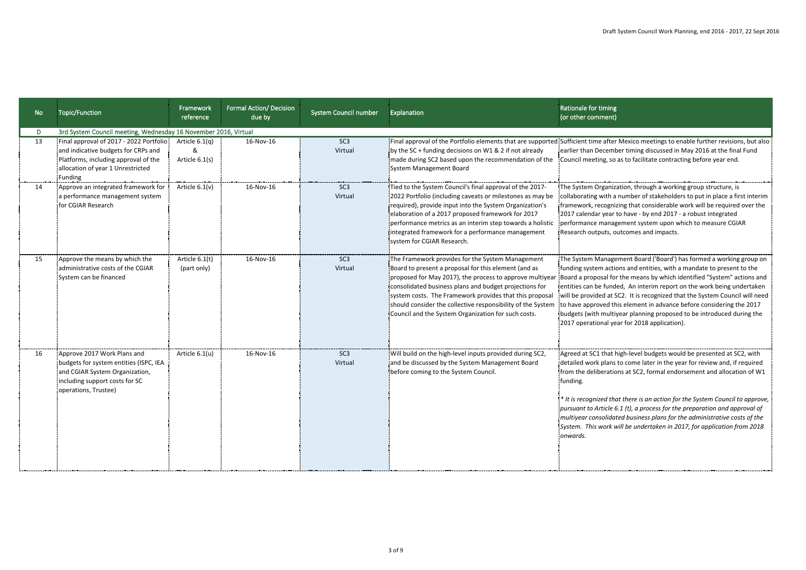| <b>No</b> | <b>Topic/Function</b>                                                                                                                                                   | Framework<br>reference             | <b>Formal Action/ Decision</b><br>due by | System Council number      | Explanation                                                                                                                                                                                                                                                                                                                                                                                                     | Rationale for timing<br>(or other comment)                                                                                                                                                                                                                                                                                                                                                                                                                                                                                                                                         |
|-----------|-------------------------------------------------------------------------------------------------------------------------------------------------------------------------|------------------------------------|------------------------------------------|----------------------------|-----------------------------------------------------------------------------------------------------------------------------------------------------------------------------------------------------------------------------------------------------------------------------------------------------------------------------------------------------------------------------------------------------------------|------------------------------------------------------------------------------------------------------------------------------------------------------------------------------------------------------------------------------------------------------------------------------------------------------------------------------------------------------------------------------------------------------------------------------------------------------------------------------------------------------------------------------------------------------------------------------------|
| D         | 3rd System Council meeting, Wednesday 16 November 2016, Virtual                                                                                                         |                                    |                                          |                            |                                                                                                                                                                                                                                                                                                                                                                                                                 |                                                                                                                                                                                                                                                                                                                                                                                                                                                                                                                                                                                    |
| 13        | Final approval of 2017 - 2022 Portfolio:<br>and indicative budgets for CRPs and<br>Platforms, including approval of the<br>allocation of year 1 Unrestricted<br>Funding | Article $6.1(q)$<br>Article 6.1(s) | 16-Nov-16                                | SC <sub>3</sub><br>Virtual | by the SC + funding decisions on W1 & 2 if not already<br>made during SC2 based upon the recommendation of the<br>System Management Board                                                                                                                                                                                                                                                                       | Final approval of the Portfolio elements that are supported:Sufficient time after Mexico meetings to enable further revisions, but also<br>earlier than December timing discussed in May 2016 at the final Fund<br>Council meeting, so as to facilitate contracting before year end.                                                                                                                                                                                                                                                                                               |
| 14        | Approve an integrated framework for<br>a performance management system<br>for CGIAR Research                                                                            | Article $6.1(v)$                   | 16-Nov-16                                | SC <sub>3</sub><br>Virtual | Tied to the System Council's final approval of the 2017-<br>2022 Portfolio (including caveats or milestones as may be<br>required), provide input into the System Organization's<br>elaboration of a 2017 proposed framework for 2017<br>performance metrics as an interim step towards a holistic<br>integrated framework for a performance management<br>system for CGIAR Research.                           | The System Organization, through a working group structure, is<br>collaborating with a number of stakeholders to put in place a first interim<br>framework, recognizing that considerable work will be required over the<br>12017 calendar year to have - by end 2017 - a robust integrated<br>performance management system upon which to measure CGIAR<br>Research outputs, outcomes and impacts.                                                                                                                                                                                |
| 15        | Approve the means by which the<br>administrative costs of the CGIAR<br>System can be financed                                                                           | Article 6.1(t)<br>(part only)      | 16-Nov-16                                | SC <sub>3</sub><br>Virtual | The Framework provides for the System Management<br>Board to present a proposal for this element (and as<br>proposed for May 2017), the process to approve multiyear<br>consolidated business plans and budget projections for<br>system costs. The Framework provides that this proposal<br>should consider the collective responsibility of the System<br>Council and the System Organization for such costs. | The System Management Board ('Board') has formed a working group on<br>funding system actions and entities, with a mandate to present to the<br>Board a proposal for the means by which identified "System" actions and<br>entities can be funded, An interim report on the work being undertaken<br>will be provided at SC2. It is recognized that the System Council will need<br>to have approved this element in advance before considering the 2017<br>budgets (with multiyear planning proposed to be introduced during the<br>[2017 operational year for 2018 application]. |
|           | Approve 2017 Work Plans and<br>budgets for system entities (ISPC, IEA<br>and CGIAR System Organization,<br>including support costs for SC<br>operations, Trustee)       | Article 6.1(u)                     | 16-Nov-16                                | SC <sub>3</sub><br>Virtual | Will build on the high-level inputs provided during SC2,<br>and be discussed by the System Management Board<br>before coming to the System Council.                                                                                                                                                                                                                                                             | Agreed at SC1 that high-level budgets would be presented at SC2, with<br>detailed work plans to come later in the year for review and, if required<br>Ifrom the deliberations at SC2, formal endorsement and allocation of W1<br>funding.<br>* It is recognized that there is an action for the System Council to approve,<br>pursuant to Article 6.1 (t), a process for the preparation and approval of<br>multiyear consolidated business plans for the administrative costs of the<br>System. This work will be undertaken in 2017, for application from 2018<br>onwards.       |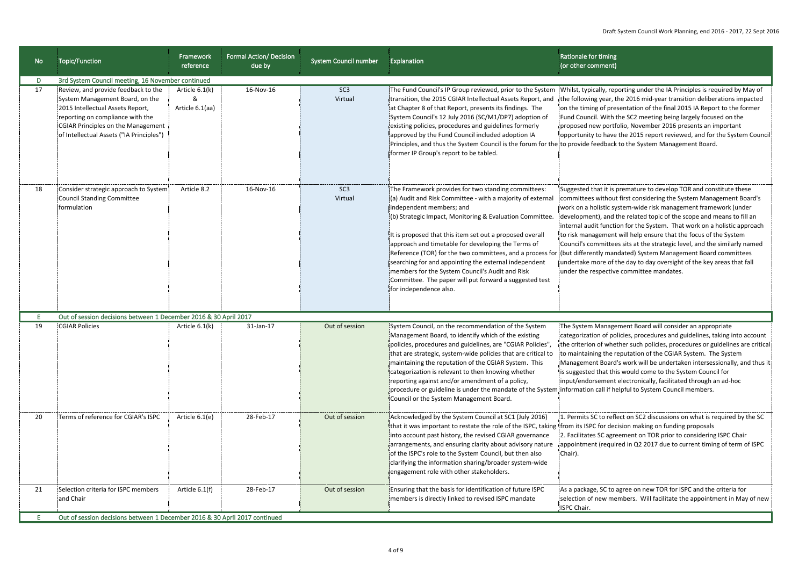| <b>No</b> | <b>Topic/Function</b>                                                                                                                                                                                                                                                                        | Framework<br>reference                 | <b>Formal Action/ Decision</b><br>due by | <b>System Council number</b> | Explanation                                                                                                                                                                                                                                                                                                                                                                                                                                                                                                                                                                              | Rationale for timing<br>(or other comment)                                                                                                                                                                                                                                                                                                                                                                                                                                                                                                                                                                                                                                                              |
|-----------|----------------------------------------------------------------------------------------------------------------------------------------------------------------------------------------------------------------------------------------------------------------------------------------------|----------------------------------------|------------------------------------------|------------------------------|------------------------------------------------------------------------------------------------------------------------------------------------------------------------------------------------------------------------------------------------------------------------------------------------------------------------------------------------------------------------------------------------------------------------------------------------------------------------------------------------------------------------------------------------------------------------------------------|---------------------------------------------------------------------------------------------------------------------------------------------------------------------------------------------------------------------------------------------------------------------------------------------------------------------------------------------------------------------------------------------------------------------------------------------------------------------------------------------------------------------------------------------------------------------------------------------------------------------------------------------------------------------------------------------------------|
| D<br>17   | 3rd System Council meeting, 16 November continued<br>Review, and provide feedback to the<br>System Management Board, on the<br>2015 Intellectual Assets Report,<br>reporting on compliance with the<br><b>CGIAR Principles on the Management</b><br>of Intellectual Assets ("IA Principles") | Article 6.1(k)<br>&<br>Article 6.1(aa) | 16-Nov-16                                | SC <sub>3</sub><br>Virtual   | The Fund Council's IP Group reviewed, prior to the System<br>transition, the 2015 CGIAR Intellectual Assets Report, and<br>at Chapter 8 of that Report, presents its findings. The<br>System Council's 12 July 2016 (SC/M1/DP7) adoption of<br>existing policies, procedures and guidelines formerly<br>approved by the Fund Council included adoption IA<br>Principles, and thus the System Council is the forum for the to provide feedback to the System Management Board.<br>former IP Group's report to be tabled.                                                                  | Whilst, typically, reporting under the IA Principles is required by May of<br>the following year, the 2016 mid-year transition deliberations impacted<br>on the timing of presentation of the final 2015 IA Report to the former<br>Fund Council. With the SC2 meeting being largely focused on the<br>proposed new portfolio, November 2016 presents an important<br>opportunity to have the 2015 report reviewed, and for the System Council                                                                                                                                                                                                                                                          |
| 18        | Consider strategic approach to System<br>Council Standing Committee<br><b>formulation</b>                                                                                                                                                                                                    | Article 8.2                            | 16-Nov-16                                | SC <sub>3</sub><br>Virtual   | The Framework provides for two standing committees:<br>(a) Audit and Risk Committee - with a majority of external<br>independent members; and<br>(b) Strategic Impact, Monitoring & Evaluation Committee.<br>It is proposed that this item set out a proposed overall<br>approach and timetable for developing the Terms of<br>Reference (TOR) for the two committees, and a process for<br>searching for and appointing the external independent<br>members for the System Council's Audit and Risk<br>Committee. The paper will put forward a suggested test<br>for independence also. | Suggested that it is premature to develop TOR and constitute these<br>committees without first considering the System Management Board's<br>work on a holistic system-wide risk management framework (under<br>development), and the related topic of the scope and means to fill an<br>internal audit function for the System. That work on a holistic approach<br>to risk management will help ensure that the focus of the System<br>Council's committees sits at the strategic level, and the similarly named<br>(but differently mandated) System Management Board committees<br>undertake more of the day to day oversight of the key areas that fall<br>under the respective committee mandates. |
| 19        | Out of session decisions between 1 December 2016 & 30 April 2017<br><b>CGIAR Policies</b>                                                                                                                                                                                                    | Article 6.1(k)                         | 31-Jan-17                                | Out of session               | System Council, on the recommendation of the System<br>Management Board, to identify which of the existing<br>policies, procedures and guidelines, are "CGIAR Policies",<br>that are strategic, system-wide policies that are critical to<br>maintaining the reputation of the CGIAR System. This<br>categorization is relevant to then knowing whether<br>reporting against and/or amendment of a policy,<br>procedure or guideline is under the mandate of the System information call if helpful to System Council members.<br>Council or the System Management Board.                | The System Management Board will consider an appropriate<br>categorization of policies, procedures and guidelines, taking into account<br>the criterion of whether such policies, procedures or guidelines are critical!<br>to maintaining the reputation of the CGIAR System. The System<br>Management Board's work will be undertaken intersessionally, and thus it<br>is suggested that this would come to the System Council for<br>input/endorsement electronically, facilitated through an ad-hoc                                                                                                                                                                                                 |
| 20        | Terms of reference for CGIAR's ISPC                                                                                                                                                                                                                                                          | Article 6.1(e)                         | 28-Feb-17                                | Out of session               | Acknowledged by the System Council at SC1 (July 2016)<br>that it was important to restate the role of the ISPC, taking Ifrom its ISPC for decision making on funding proposals<br>into account past history, the revised CGIAR governance<br>arrangements, and ensuring clarity about advisory nature<br>of the ISPC's role to the System Council, but then also<br>clarifying the information sharing/broader system-wide<br>engagement role with other stakeholders.                                                                                                                   | 1. Permits SC to reflect on SC2 discussions on what is required by the SC<br>2. Facilitates SC agreement on TOR prior to considering ISPC Chair<br>appointment (required in Q2 2017 due to current timing of term of ISPC<br>Chair).                                                                                                                                                                                                                                                                                                                                                                                                                                                                    |
| 21        | Selection criteria for ISPC members<br>and Chair<br>Out of session decisions between 1 December 2016 & 30 April 2017 continued                                                                                                                                                               | Article 6.1(f)                         | 28-Feb-17                                | Out of session               | Ensuring that the basis for identification of future ISPC<br>members is directly linked to revised ISPC mandate                                                                                                                                                                                                                                                                                                                                                                                                                                                                          | As a package, SC to agree on new TOR for ISPC and the criteria for<br>selection of new members. Will facilitate the appointment in May of new<br>ISPC Chair.                                                                                                                                                                                                                                                                                                                                                                                                                                                                                                                                            |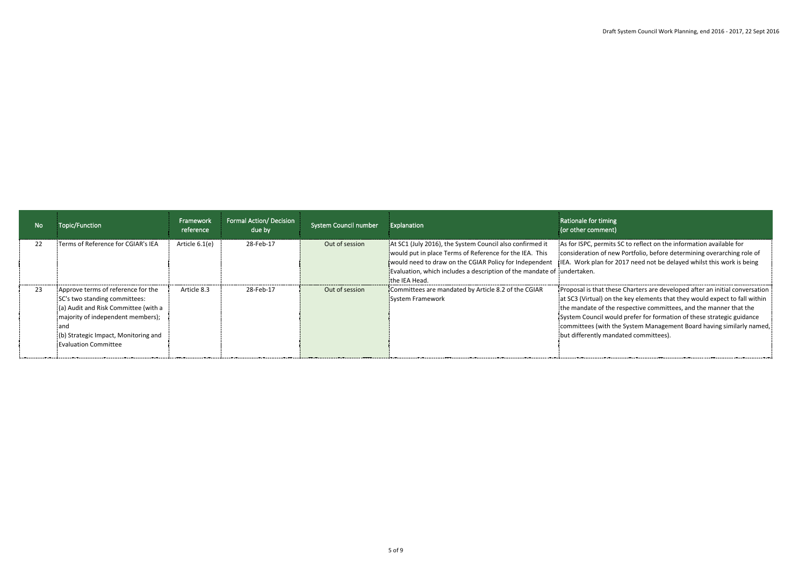| No | Topic/Function                                                                                                                                                                                                                          | Framework<br>reference | <b>Formal Action/ Decision</b><br>due by | <b>System Council number</b> | Explanation                                                                                                                                                                                                                                                               | Rationale for timing<br>(or other comment)                                                                                                                                                                                                                                                                                                                                                                               |
|----|-----------------------------------------------------------------------------------------------------------------------------------------------------------------------------------------------------------------------------------------|------------------------|------------------------------------------|------------------------------|---------------------------------------------------------------------------------------------------------------------------------------------------------------------------------------------------------------------------------------------------------------------------|--------------------------------------------------------------------------------------------------------------------------------------------------------------------------------------------------------------------------------------------------------------------------------------------------------------------------------------------------------------------------------------------------------------------------|
| 22 | :Terms of Reference for CGIAR's IEA                                                                                                                                                                                                     | Article 6.1(e)         | 28-Feb-17                                | Out of session               | At SC1 (July 2016), the System Council also confirmed it<br>would put in place Terms of Reference for the IEA. This<br>would need to draw on the CGIAR Policy for Independent<br>Evaluation, which includes a description of the mandate of jundertaken.<br>the IEA Head. | As for ISPC, permits SC to reflect on the information available for<br>consideration of new Portfolio, before determining overarching role of<br>i. IEA. Work plan for 2017 need not be delayed whilst this work is being                                                                                                                                                                                                |
| 23 | Approve terms of reference for the<br>SC's two standing committees:<br>(a) Audit and Risk Committee (with a<br>imajority of independent members);<br><b>land</b><br>(b) Strategic Impact, Monitoring and<br><b>Evaluation Committee</b> | Article 8.3            | 28-Feb-17                                | Out of session               | Committees are mandated by Article 8.2 of the CGIAR<br>System Framework                                                                                                                                                                                                   | Proposal is that these Charters are developed after an initial conversation<br>at SC3 (Virtual) on the key elements that they would expect to fall within<br>the mandate of the respective committees, and the manner that the<br>System Council would prefer for formation of these strategic guidance<br>committees (with the System Management Board having similarly named,<br>but differently mandated committees). |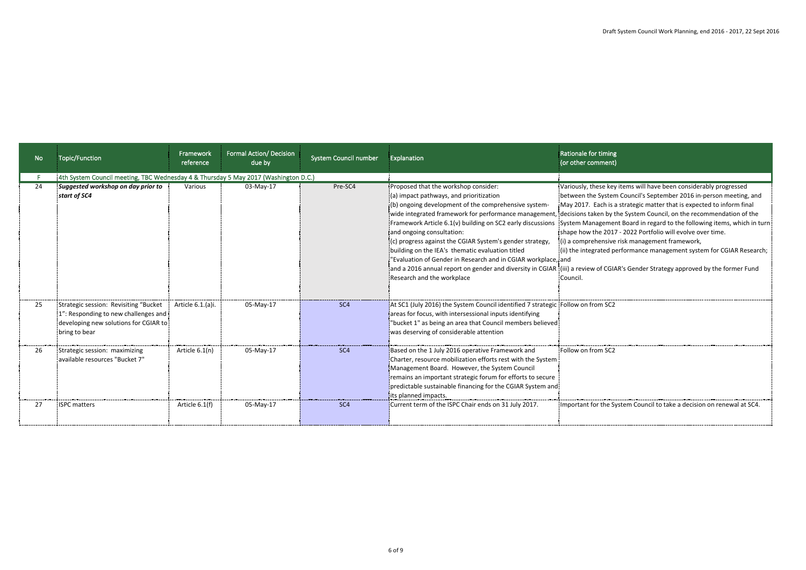| No  | Topic/Function                                                                                                                          | Framework<br>reference | <b>Formal Action/ Decision</b><br>due by | <b>System Council number</b> | Explanation                                                                                                                                                                                                                                                                                                                                                                                                                                                                                                | Rationale for timing<br>(or other comment)                                                                                                                                                                                                                                                                                                                                                                                                                                                                                                                                                                                                                                                                 |
|-----|-----------------------------------------------------------------------------------------------------------------------------------------|------------------------|------------------------------------------|------------------------------|------------------------------------------------------------------------------------------------------------------------------------------------------------------------------------------------------------------------------------------------------------------------------------------------------------------------------------------------------------------------------------------------------------------------------------------------------------------------------------------------------------|------------------------------------------------------------------------------------------------------------------------------------------------------------------------------------------------------------------------------------------------------------------------------------------------------------------------------------------------------------------------------------------------------------------------------------------------------------------------------------------------------------------------------------------------------------------------------------------------------------------------------------------------------------------------------------------------------------|
|     | 4th System Council meeting, TBC Wednesday 4 & Thursday 5 May 2017 (Washington D.C.)                                                     |                        |                                          |                              |                                                                                                                                                                                                                                                                                                                                                                                                                                                                                                            |                                                                                                                                                                                                                                                                                                                                                                                                                                                                                                                                                                                                                                                                                                            |
| 24  | Suggested workshop on day prior to<br>start of SC4                                                                                      | Various                | 03-May-17                                | Pre-SC4                      | Proposed that the workshop consider:<br>(a) impact pathways, and prioritization<br>(b) ongoing development of the comprehensive system-<br>wide integrated framework for performance management,<br>Framework Article 6.1(v) building on SC2 early discussions<br>and ongoing consultation:<br>(c) progress against the CGIAR System's gender strategy,<br>building on the IEA's thematic evaluation titled<br>"Evaluation of Gender in Research and in CGIAR workplace, and<br>Research and the workplace | Variously, these key items will have been considerably progressed<br>between the System Council's September 2016 in-person meeting, and<br>May 2017. Each is a strategic matter that is expected to inform final<br>decisions taken by the System Council, on the recommendation of the<br>System Management Board in regard to the following items, which in turn<br>shape how the 2017 - 2022 Portfolio will evolve over time.<br>(i) a comprehensive risk management framework,<br>(ii) the integrated performance management system for CGIAR Research;<br>and a 2016 annual report on gender and diversity in CGIAR (iii) a review of CGIAR's Gender Strategy approved by the former Fund<br>Council. |
| 25  | Strategic session: Revisiting "Bucket<br>1": Responding to new challenges and<br>developing new solutions for CGIAR to<br>bring to bear | Article 6.1.(a)i.      | 05-May-17                                | SC <sub>4</sub>              | At SC1 (July 2016) the System Council identified 7 strategic Follow on from SC2<br>areas for focus, with intersessional inputs identifying<br>"bucket 1" as being an area that Council members believed<br>was deserving of considerable attention                                                                                                                                                                                                                                                         |                                                                                                                                                                                                                                                                                                                                                                                                                                                                                                                                                                                                                                                                                                            |
| -26 | Strategic session: maximizing<br>available resources "Bucket 7'                                                                         | Article 6.1(n)         | 05-May-17                                | SC <sub>4</sub>              | Based on the 1 July 2016 operative Framework and<br>Charter, resource mobilization efforts rest with the System<br>Management Board. However, the System Council<br>remains an important strategic forum for efforts to secure<br>predictable sustainable financing for the CGIAR System and<br>its planned impacts.                                                                                                                                                                                       | Follow on from SC2                                                                                                                                                                                                                                                                                                                                                                                                                                                                                                                                                                                                                                                                                         |
| 27  | <b>ISPC</b> matters                                                                                                                     | Article 6.1(f)         | 05-May-17                                | SC <sub>4</sub>              | Current term of the ISPC Chair ends on 31 July 2017.                                                                                                                                                                                                                                                                                                                                                                                                                                                       | Important for the System Council to take a decision on renewal at SC4.                                                                                                                                                                                                                                                                                                                                                                                                                                                                                                                                                                                                                                     |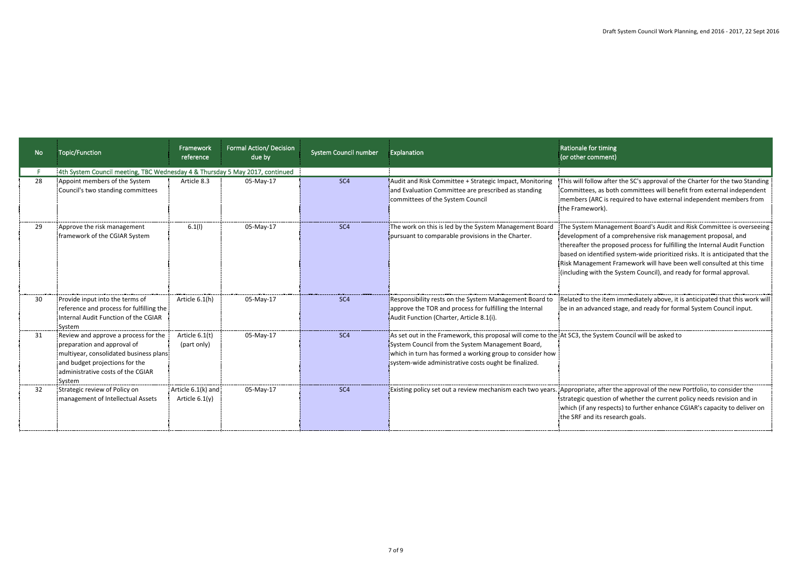| No | <b>Topic/Function</b>                                                                                                                                                                           | Framework<br>reference                 | Formal Action/ Decision<br>due by | <b>System Council number</b> | Explanation                                                                                                                                                                                                                                                                     | Rationale for timing<br>(or other comment)                                                                                                                                                                                                                                                                                                                                                                                                         |
|----|-------------------------------------------------------------------------------------------------------------------------------------------------------------------------------------------------|----------------------------------------|-----------------------------------|------------------------------|---------------------------------------------------------------------------------------------------------------------------------------------------------------------------------------------------------------------------------------------------------------------------------|----------------------------------------------------------------------------------------------------------------------------------------------------------------------------------------------------------------------------------------------------------------------------------------------------------------------------------------------------------------------------------------------------------------------------------------------------|
|    | 4th System Council meeting, TBC Wednesday 4 & Thursday 5 May 2017, continued                                                                                                                    |                                        |                                   |                              |                                                                                                                                                                                                                                                                                 |                                                                                                                                                                                                                                                                                                                                                                                                                                                    |
| 28 | Appoint members of the System<br>Council's two standing committees                                                                                                                              | Article 8.3                            | 05-May-17                         | SC <sub>4</sub>              | Audit and Risk Committee + Strategic Impact, Monitoring<br>and Evaluation Committee are prescribed as standing<br>committees of the System Council                                                                                                                              | This will follow after the SC's approval of the Charter for the two Standing<br>Committees, as both committees will benefit from external independent<br>members (ARC is required to have external independent members from<br>the Framework).                                                                                                                                                                                                     |
| 29 | Approve the risk management<br>framework of the CGIAR System                                                                                                                                    | 6.1(1)                                 | 05-May-17                         | SC <sub>4</sub>              | The work on this is led by the System Management Board<br>pursuant to comparable provisions in the Charter.                                                                                                                                                                     | The System Management Board's Audit and Risk Committee is overseeing<br>development of a comprehensive risk management proposal, and<br>thereafter the proposed process for fulfilling the Internal Audit Function<br>based on identified system-wide prioritized risks. It is anticipated that the<br>Risk Management Framework will have been well consulted at this time<br>(including with the System Council), and ready for formal approval. |
| 30 | Provide input into the terms of<br>reference and process for fulfilling the<br>Internal Audit Function of the CGIAR<br>System                                                                   | Article 6.1(h)                         | 05-May-17                         | SC <sub>4</sub>              | Responsibility rests on the System Management Board to<br>approve the TOR and process for fulfilling the Internal<br>Audit Function (Charter, Article 8.1(i).                                                                                                                   | Related to the item immediately above, it is anticipated that this work will<br>be in an advanced stage, and ready for formal System Council input.                                                                                                                                                                                                                                                                                                |
| 31 | Review and approve a process for the<br>preparation and approval of<br>multiyear, consolidated business plans!<br>and budget projections for the<br>administrative costs of the CGIAR<br>System | Article 6.1(t)<br>(part only)          | 05-May-17                         | SC <sub>4</sub>              | As set out in the Framework, this proposal will come to the At SC3, the System Council will be asked to<br>System Council from the System Management Board,<br>which in turn has formed a working group to consider how<br>system-wide administrative costs ought be finalized. |                                                                                                                                                                                                                                                                                                                                                                                                                                                    |
| 32 | Strategic review of Policy on<br>Imanagement of Intellectual Assets                                                                                                                             | Article 6.1(k) and<br>Article $6.1(y)$ | 05-May-17                         | SC <sub>4</sub>              |                                                                                                                                                                                                                                                                                 | Existing policy set out a review mechanism each two years. Appropriate, after the approval of the new Portfolio, to consider the<br>strategic question of whether the current policy needs revision and in<br>which (if any respects) to further enhance CGIAR's capacity to deliver on<br>the SRF and its research goals.                                                                                                                         |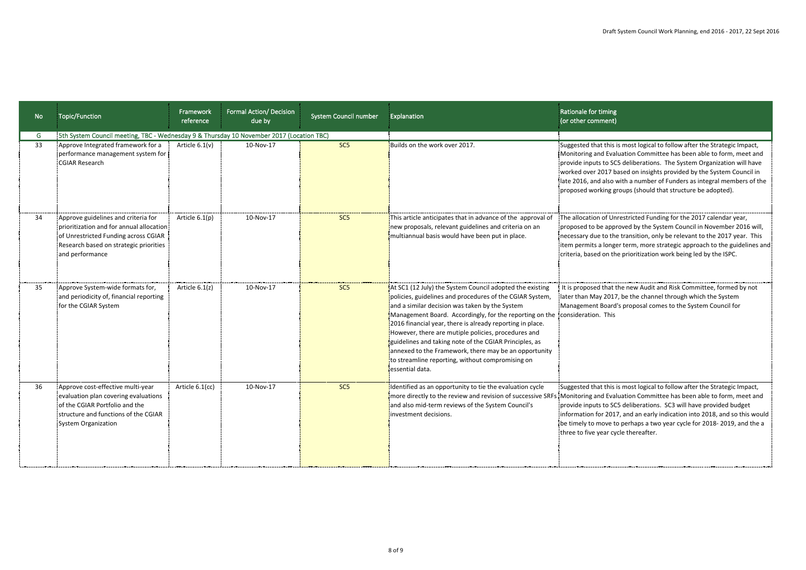| No | Topic/Function                                                                                                                                                                        | Framework<br>reference | <b>Formal Action/ Decision</b><br>due by | <b>System Council number</b> | Explanation                                                                                                                                                                                                                                                                                                                                                                                                                                                                                                                                     | Rationale for timing<br>(or other comment)                                                                                                                                                                                                                                                                                                                                                                                                                                         |
|----|---------------------------------------------------------------------------------------------------------------------------------------------------------------------------------------|------------------------|------------------------------------------|------------------------------|-------------------------------------------------------------------------------------------------------------------------------------------------------------------------------------------------------------------------------------------------------------------------------------------------------------------------------------------------------------------------------------------------------------------------------------------------------------------------------------------------------------------------------------------------|------------------------------------------------------------------------------------------------------------------------------------------------------------------------------------------------------------------------------------------------------------------------------------------------------------------------------------------------------------------------------------------------------------------------------------------------------------------------------------|
| G  | <sup>1</sup> 5th System Council meeting, TBC - Wednesday 9 & Thursday 10 November 2017 (Location TBC)                                                                                 |                        |                                          |                              |                                                                                                                                                                                                                                                                                                                                                                                                                                                                                                                                                 |                                                                                                                                                                                                                                                                                                                                                                                                                                                                                    |
| 33 | Approve Integrated framework for a<br>performance management system for<br><b>CGIAR Research</b>                                                                                      | Article $6.1(v)$       | 10-Nov-17                                | SC <sub>5</sub>              | Builds on the work over 2017.                                                                                                                                                                                                                                                                                                                                                                                                                                                                                                                   | Suggested that this is most logical to follow after the Strategic Impact,<br>Monitoring and Evaluation Committee has been able to form, meet and<br>provide inputs to SC5 deliberations. The System Organization will have<br>worked over 2017 based on insights provided by the System Council in<br>late 2016, and also with a number of Funders as integral members of the<br>proposed working groups (should that structure be adopted).                                       |
| 34 | Approve guidelines and criteria for<br>prioritization and for annual allocation!<br>of Unrestricted Funding across CGIAR<br>Research based on strategic priorities<br>and performance | Article $6.1(p)$       | 10-Nov-17                                | SC <sub>5</sub>              | This article anticipates that in advance of the approval of<br>new proposals, relevant guidelines and criteria on an<br>multiannual basis would have been put in place.                                                                                                                                                                                                                                                                                                                                                                         | The allocation of Unrestricted Funding for the 2017 calendar year,<br>proposed to be approved by the System Council in November 2016 will,<br>necessary due to the transition, only be relevant to the 2017 year. This<br>item permits a longer term, more strategic approach to the guidelines and<br>criteria, based on the prioritization work being led by the ISPC.                                                                                                           |
| 35 | Approve System-wide formats for,<br>and periodicity of, financial reporting<br>for the CGIAR System                                                                                   | Article 6.1(z)         | 10-Nov-17                                | SC <sub>5</sub>              | At SC1 (12 July) the System Council adopted the existing<br>policies, guidelines and procedures of the CGIAR System,<br>and a similar decision was taken by the System<br>Management Board. Accordingly, for the reporting on the<br>2016 financial year, there is already reporting in place.<br>However, there are mutiple policies, procedures and<br>guidelines and taking note of the CGIAR Principles, as<br>annexed to the Framework, there may be an opportunity<br>to streamline reporting, without compromising on<br>essential data. | It is proposed that the new Audit and Risk Committee, formed by not<br>later than May 2017, be the channel through which the System<br>Management Board's proposal comes to the System Council for<br>consideration. This                                                                                                                                                                                                                                                          |
| 36 | Approve cost-effective multi-year<br>evaluation plan covering evaluations<br>of the CGIAR Portfolio and the<br>structure and functions of the CGIAR<br>System Organization            | Article 6.1(cc)        | 10-Nov-17                                | SC <sub>5</sub>              | Identified as an opportunity to tie the evaluation cycle<br>and also mid-term reviews of the System Council's<br>investment decisions.                                                                                                                                                                                                                                                                                                                                                                                                          | Suggested that this is most logical to follow after the Strategic Impact,<br>more directly to the review and revision of successive SRFs Monitoring and Evaluation Committee has been able to form, meet and<br>provide inputs to SC5 deliberations. SC3 will have provided budget<br>information for 2017, and an early indication into 2018, and so this would<br>be timely to move to perhaps a two year cycle for 2018-2019, and the a<br>three to five year cycle thereafter. |